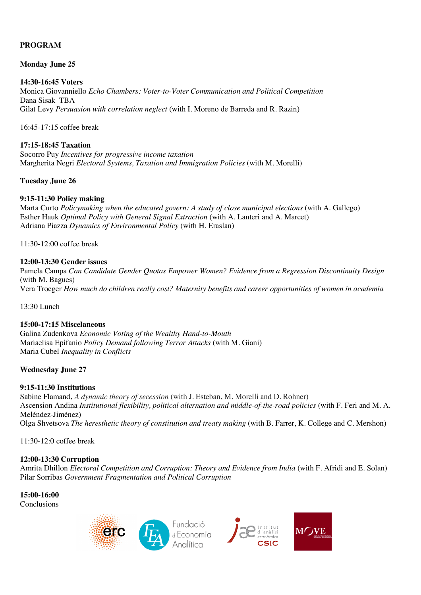# **PROGRAM**

## **Monday June 25**

## **14:30-16:45 Voters**

Monica Giovanniello *Echo Chambers: Voter-to-Voter Communication and Political Competition* Dana Sisak TBA Gilat Levy *Persuasion with correlation neglect* (with I. Moreno de Barreda and R. Razin)

16:45-17:15 coffee break

## **17:15-18:45 Taxation**

Socorro Puy *Incentives for progressive income taxation* Margherita Negri *Electoral Systems, Taxation and Immigration Policies* (with M. Morelli)

## **Tuesday June 26**

## **9:15-11:30 Policy making**

Marta Curto *Policymaking when the educated govern: A study of close municipal elections* (with A. Gallego) Esther Hauk *Optimal Policy with General Signal Extraction* (with A. Lanteri and A. Marcet) Adriana Piazza *Dynamics of Environmental Policy* (with H. Eraslan)

11:30-12:00 coffee break

## **12:00-13:30 Gender issues**

Pamela Campa *Can Candidate Gender Quotas Empower Women? Evidence from a Regression Discontinuity Design* (with M. Bagues) Vera Troeger *How much do children really cost? Maternity benefits and career opportunities of women in academia*

13:30 Lunch

# **15:00-17:15 Miscelaneous**

Galina Zudenkova *Economic Voting of the Wealthy Hand-to-Mouth* Mariaelisa Epifanio *Policy Demand following Terror Attacks* (with M. Giani) Maria Cubel *Inequality in Conflicts*

# **Wednesday June 27**

#### **9:15-11:30 Institutions**

Sabine Flamand, *A dynamic theory of secession* (with J. Esteban, M. Morelli and D. Rohner) Ascension Andina *Institutional flexibility, political alternation and middle-of-the-road policies* (with F. Feri and M. A. Meléndez-Jiménez) Olga Shvetsova *The heresthetic theory of constitution and treaty making* (with B. Farrer, K. College and C. Mershon)

11:30-12:0 coffee break

#### **12:00-13:30 Corruption**

Amrita Dhillon *Electoral Competition and Corruption: Theory and Evidence from India* (with F. Afridi and E. Solan) Pilar Sorribas *Government Fragmentation and Political Corruption*

**15:00-16:00** Conclusions